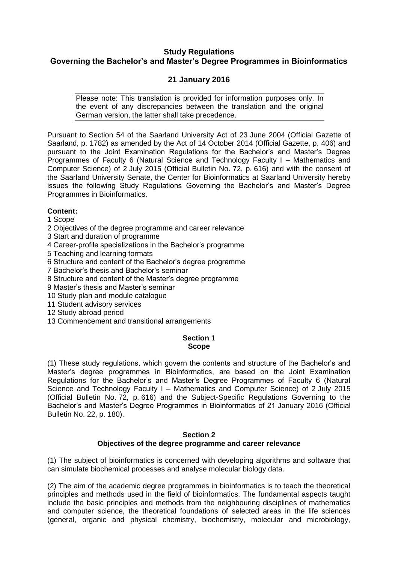## **Study Regulations Governing the Bachelor's and Master's Degree Programmes in Bioinformatics**

# **21 January 2016**

Please note: This translation is provided for information purposes only. In the event of any discrepancies between the translation and the original German version, the latter shall take precedence.

Pursuant to Section 54 of the Saarland University Act of 23 June 2004 (Official Gazette of Saarland, p. 1782) as amended by the Act of 14 October 2014 (Official Gazette, p. 406) and pursuant to the Joint Examination Regulations for the Bachelor's and Master's Degree Programmes of Faculty 6 (Natural Science and Technology Faculty I – Mathematics and Computer Science) of 2 July 2015 (Official Bulletin No. 72, p. 616) and with the consent of the Saarland University Senate, the Center for Bioinformatics at Saarland University hereby issues the following Study Regulations Governing the Bachelor's and Master's Degree Programmes in Bioinformatics.

## **Content:**

1 Scope

2 Objectives of the degree programme and career relevance

3 Start and duration of programme

4 Career-profile specializations in the Bachelor's programme

5 Teaching and learning formats

6 Structure and content of the Bachelor's degree programme

7 Bachelor's thesis and Bachelor's seminar

8 Structure and content of the Master's degree programme

9 Master's thesis and Master's seminar

10 Study plan and module catalogue

11 Student advisory services

12 Study abroad period

13 Commencement and transitional arrangements

## **Section 1 Scope**

(1) These study regulations, which govern the contents and structure of the Bachelor's and Master's degree programmes in Bioinformatics, are based on the Joint Examination Regulations for the Bachelor's and Master's Degree Programmes of Faculty 6 (Natural Science and Technology Faculty I – Mathematics and Computer Science) of 2 July 2015 (Official Bulletin No. 72, p. 616) and the Subject-Specific Regulations Governing to the Bachelor's and Master's Degree Programmes in Bioinformatics of 21 January 2016 (Official Bulletin No. 22, p. 180).

## **Section 2 Objectives of the degree programme and career relevance**

(1) The subject of bioinformatics is concerned with developing algorithms and software that can simulate biochemical processes and analyse molecular biology data.

(2) The aim of the academic degree programmes in bioinformatics is to teach the theoretical principles and methods used in the field of bioinformatics. The fundamental aspects taught include the basic principles and methods from the neighbouring disciplines of mathematics and computer science, the theoretical foundations of selected areas in the life sciences (general, organic and physical chemistry, biochemistry, molecular and microbiology,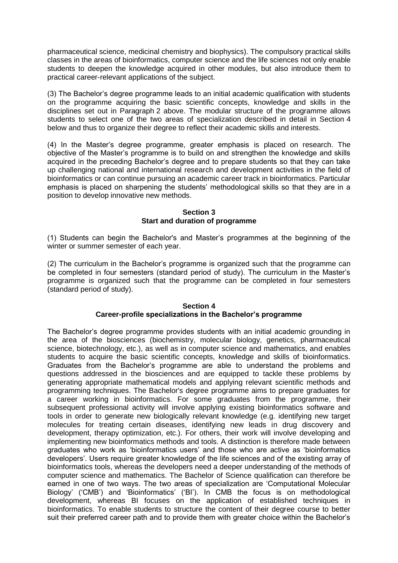pharmaceutical science, medicinal chemistry and biophysics). The compulsory practical skills classes in the areas of bioinformatics, computer science and the life sciences not only enable students to deepen the knowledge acquired in other modules, but also introduce them to practical career-relevant applications of the subject.

(3) The Bachelor's degree programme leads to an initial academic qualification with students on the programme acquiring the basic scientific concepts, knowledge and skills in the disciplines set out in Paragraph 2 above. The modular structure of the programme allows students to select one of the two areas of specialization described in detail in Section 4 below and thus to organize their degree to reflect their academic skills and interests.

(4) In the Master's degree programme, greater emphasis is placed on research. The objective of the Master's programme is to build on and strengthen the knowledge and skills acquired in the preceding Bachelor's degree and to prepare students so that they can take up challenging national and international research and development activities in the field of bioinformatics or can continue pursuing an academic career track in bioinformatics. Particular emphasis is placed on sharpening the students' methodological skills so that they are in a position to develop innovative new methods.

#### **Section 3 Start and duration of programme**

(1) Students can begin the Bachelor's and Master's programmes at the beginning of the winter or summer semester of each year.

(2) The curriculum in the Bachelor's programme is organized such that the programme can be completed in four semesters (standard period of study). The curriculum in the Master's programme is organized such that the programme can be completed in four semesters (standard period of study).

## **Section 4 Career-profile specializations in the Bachelor's programme**

The Bachelor's degree programme provides students with an initial academic grounding in the area of the biosciences (biochemistry, molecular biology, genetics, pharmaceutical science, biotechnology, etc.), as well as in computer science and mathematics, and enables students to acquire the basic scientific concepts, knowledge and skills of bioinformatics. Graduates from the Bachelor's programme are able to understand the problems and questions addressed in the biosciences and are equipped to tackle these problems by generating appropriate mathematical models and applying relevant scientific methods and programming techniques. The Bachelor's degree programme aims to prepare graduates for a career working in bioinformatics. For some graduates from the programme, their subsequent professional activity will involve applying existing bioinformatics software and tools in order to generate new biologically relevant knowledge (e.g. identifying new target molecules for treating certain diseases, identifying new leads in drug discovery and development, therapy optimization, etc.). For others, their work will involve developing and implementing new bioinformatics methods and tools. A distinction is therefore made between graduates who work as 'bioinformatics users' and those who are active as 'bioinformatics developers'. Users require greater knowledge of the life sciences and of the existing array of bioinformatics tools, whereas the developers need a deeper understanding of the methods of computer science and mathematics. The Bachelor of Science qualification can therefore be earned in one of two ways. The two areas of specialization are 'Computational Molecular Biology' ('CMB') and 'Bioinformatics' ('BI'). In CMB the focus is on methodological development, whereas BI focuses on the application of established techniques in bioinformatics. To enable students to structure the content of their degree course to better suit their preferred career path and to provide them with greater choice within the Bachelor's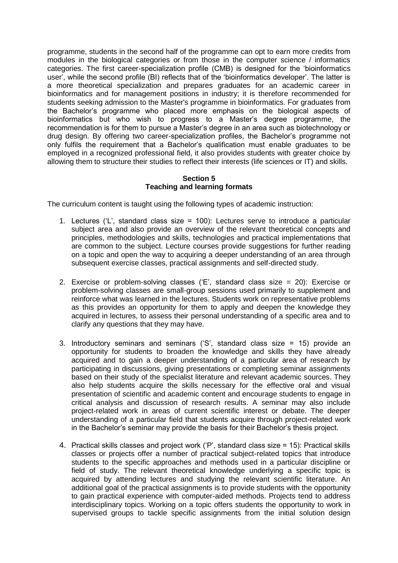programme, students in the second half of the programme can opt to earn more credits from modules in the biological categories or from those in the computer science / informatics categories. The first career-specialization profile (CMB) is designed for the 'bioinformatics user', while the second profile (BI) reflects that of the 'bioinformatics developer'. The latter is a more theoretical specialization and prepares graduates for an academic career in bioinformatics and for management positions in industry; it is therefore recommended for students seeking admission to the Master's programme in bioinformatics. For graduates from the Bachelor's programme who placed more emphasis on the biological aspects of bioinformatics but who wish to progress to a Master's degree programme, the recommendation is for them to pursue a Master's degree in an area such as biotechnology or drug design. By offering two career-specialization profiles, the Bachelor's programme not only fulfils the requirement that a Bachelor's qualification must enable graduates to be employed in a recognized professional field, it also provides students with greater choice by allowing them to structure their studies to reflect their interests (life sciences or IT) and skills.

#### **Section 5 Teaching and learning formats**

The curriculum content is taught using the following types of academic instruction:

- 1. Lectures ('L', standard class size = 100): Lectures serve to introduce a particular subject area and also provide an overview of the relevant theoretical concepts and principles, methodologies and skills, technologies and practical implementations that are common to the subject. Lecture courses provide suggestions for further reading on a topic and open the way to acquiring a deeper understanding of an area through subsequent exercise classes, practical assignments and self-directed study.
- 2. Exercise or problem-solving classes ('E', standard class size = 20): Exercise or problem-solving classes are small-group sessions used primarily to supplement and reinforce what was learned in the lectures. Students work on representative problems as this provides an opportunity for them to apply and deepen the knowledge they acquired in lectures, to assess their personal understanding of a specific area and to clarify any questions that they may have.
- 3. Introductory seminars and seminars ('S', standard class size = 15) provide an opportunity for students to broaden the knowledge and skills they have already acquired and to gain a deeper understanding of a particular area of research by participating in discussions, giving presentations or completing seminar assignments based on their study of the specialist literature and relevant academic sources. They also help students acquire the skills necessary for the effective oral and visual presentation of scientific and academic content and encourage students to engage in critical analysis and discussion of research results. A seminar may also include project-related work in areas of current scientific interest or debate. The deeper understanding of a particular field that students acquire through project-related work in the Bachelor's seminar may provide the basis for their Bachelor's thesis project.
- 4. Practical skills classes and project work ('P', standard class size = 15): Practical skills classes or projects offer a number of practical subject-related topics that introduce students to the specific approaches and methods used in a particular discipline or field of study. The relevant theoretical knowledge underlying a specific topic is acquired by attending lectures and studying the relevant scientific literature. An additional goal of the practical assignments is to provide students with the opportunity to gain practical experience with computer-aided methods. Projects tend to address interdisciplinary topics. Working on a topic offers students the opportunity to work in supervised groups to tackle specific assignments from the initial solution design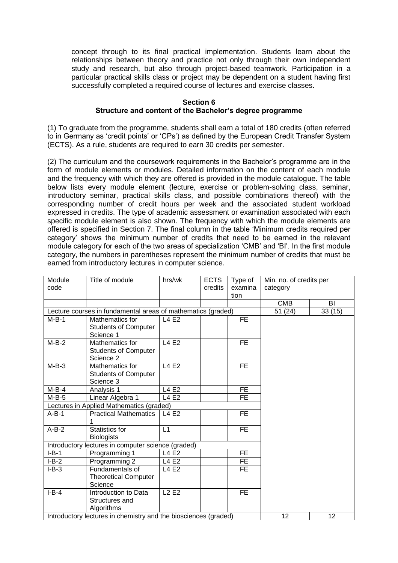concept through to its final practical implementation. Students learn about the relationships between theory and practice not only through their own independent study and research, but also through project-based teamwork. Participation in a particular practical skills class or project may be dependent on a student having first successfully completed a required course of lectures and exercise classes.

## **Section 6 Structure and content of the Bachelor's degree programme**

(1) To graduate from the programme, students shall earn a total of 180 credits (often referred to in Germany as 'credit points' or 'CPs') as defined by the European Credit Transfer System (ECTS). As a rule, students are required to earn 30 credits per semester.

(2) The curriculum and the coursework requirements in the Bachelor's programme are in the form of module elements or modules. Detailed information on the content of each module and the frequency with which they are offered is provided in the module catalogue. The table below lists every module element (lecture, exercise or problem-solving class, seminar, introductory seminar, practical skills class, and possible combinations thereof) with the corresponding number of credit hours per week and the associated student workload expressed in credits. The type of academic assessment or examination associated with each specific module element is also shown. The frequency with which the module elements are offered is specified in Section 7. The final column in the table 'Minimum credits required per category' shows the minimum number of credits that need to be earned in the relevant module category for each of the two areas of specialization 'CMB' and 'BI'. In the first module category, the numbers in parentheses represent the minimum number of credits that must be earned from introductory lectures in computer science.

| Module  | Title of module                                                 | hrs/wk       | <b>ECTS</b> | Type of   | Min. no. of credits per |        |  |
|---------|-----------------------------------------------------------------|--------------|-------------|-----------|-------------------------|--------|--|
| code    |                                                                 |              | credits     | examina   | category                |        |  |
|         |                                                                 |              |             | tion      |                         |        |  |
|         |                                                                 |              |             |           | <b>CMB</b>              | BI     |  |
|         | Lecture courses in fundamental areas of mathematics (graded)    |              |             |           |                         | 33(15) |  |
| $M-B-1$ | Mathematics for                                                 | L4 E2        |             | <b>FE</b> |                         |        |  |
|         | <b>Students of Computer</b>                                     |              |             |           |                         |        |  |
|         | Science 1                                                       |              |             |           |                         |        |  |
| $M-B-2$ | Mathematics for                                                 | <b>L4 E2</b> |             | <b>FE</b> |                         |        |  |
|         | <b>Students of Computer</b>                                     |              |             |           |                         |        |  |
|         | Science 2                                                       |              |             |           |                         |        |  |
| $M-B-3$ | Mathematics for                                                 | <b>L4 E2</b> |             | FE.       |                         |        |  |
|         | <b>Students of Computer</b>                                     |              |             |           |                         |        |  |
|         | Science 3                                                       |              |             |           |                         |        |  |
| $M-B-4$ | Analysis 1                                                      | <b>L4 E2</b> |             | FE.       |                         |        |  |
| $M-B-5$ | Linear Algebra 1                                                | L4 E2        |             | FE.       |                         |        |  |
|         | Lectures in Applied Mathematics (graded)                        |              |             |           |                         |        |  |
| $A-B-1$ | <b>Practical Mathematics</b>                                    | L4 E2        |             | <b>FE</b> |                         |        |  |
|         | 1                                                               |              |             |           |                         |        |  |
| $A-B-2$ | Statistics for                                                  | L1           |             | FE.       |                         |        |  |
|         | <b>Biologists</b>                                               |              |             |           |                         |        |  |
|         | Introductory lectures in computer science (graded)              |              |             |           |                         |        |  |
| $I-B-1$ | Programming 1                                                   | L4 E2        |             | FE.       |                         |        |  |
| $I-B-2$ | Programming 2                                                   | L4 E2        |             | <b>FE</b> |                         |        |  |
| $I-B-3$ | Fundamentals of                                                 | L4 E2        |             | FE.       |                         |        |  |
|         | <b>Theoretical Computer</b>                                     |              |             |           |                         |        |  |
|         | Science                                                         |              |             |           |                         |        |  |
| $I-B-4$ | Introduction to Data                                            | <b>L2 E2</b> |             | <b>FE</b> |                         |        |  |
|         | Structures and                                                  |              |             |           |                         |        |  |
|         | Algorithms                                                      |              |             |           |                         |        |  |
|         | Introductory lectures in chemistry and the biosciences (graded) | 12           | 12          |           |                         |        |  |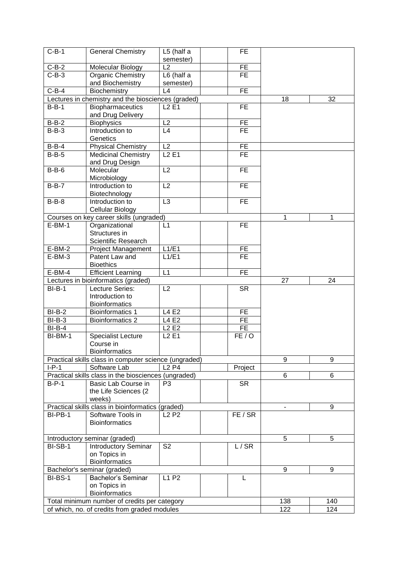| $C-B-1$  | <b>General Chemistry</b>                              | L5 (half a                    | <b>FE</b>       |     |     |
|----------|-------------------------------------------------------|-------------------------------|-----------------|-----|-----|
|          |                                                       | semester)                     |                 |     |     |
| $C-B-2$  | Molecular Biology                                     | L2                            | <b>FE</b>       |     |     |
| $C-B-3$  | Organic Chemistry                                     | L6 (half a                    | <b>FE</b>       |     |     |
|          | and Biochemistry                                      | semester)                     |                 |     |     |
| $C-B-4$  | Biochemistry                                          | L4                            | <b>FE</b>       |     |     |
|          | Lectures in chemistry and the biosciences (graded)    |                               |                 | 18  | 32  |
| $B-B-1$  | <b>Biopharmaceutics</b>                               | $L2$ E1                       | <b>FE</b>       |     |     |
| $B-B-2$  | and Drug Delivery<br><b>Biophysics</b>                | $\overline{L2}$               | <b>FE</b>       |     |     |
| $B-B-3$  | Introduction to                                       | L4                            | <b>FE</b>       |     |     |
|          | Genetics                                              |                               |                 |     |     |
| $B-B-4$  | <b>Physical Chemistry</b>                             | $\overline{L2}$               | $\overline{FE}$ |     |     |
| $B-B-5$  | Medicinal Chemistry                                   | L2E1                          | $\overline{FE}$ |     |     |
|          | and Drug Design                                       |                               |                 |     |     |
| $B-B-6$  | Molecular                                             | $\overline{L2}$               | <b>FE</b>       |     |     |
|          | Microbiology                                          |                               |                 |     |     |
| $B-B-7$  | Introduction to                                       | $\overline{L2}$               | <b>FE</b>       |     |     |
|          | Biotechnology                                         |                               |                 |     |     |
| $B-B-8$  | Introduction to                                       | L <sub>3</sub>                | <b>FE</b>       |     |     |
|          | Cellular Biology                                      |                               |                 |     |     |
|          | Courses on key career skills (ungraded)               |                               |                 | 1   | 1   |
| $E-BM-1$ | Organizational                                        | L1                            | <b>FE</b>       |     |     |
|          | Structures in                                         |                               |                 |     |     |
|          | Scientific Research                                   |                               |                 |     |     |
| $E-BM-2$ | Project Management                                    | L1/E1                         | FE.             |     |     |
| $E-BM-3$ | Patent Law and                                        | L1/E1                         | <b>FE</b>       |     |     |
|          | <b>Bioethics</b>                                      |                               |                 |     |     |
| $E-BM-4$ | <b>Efficient Learning</b>                             | L1                            | <b>FE</b>       |     |     |
|          | Lectures in bioinformatics (graded)                   |                               |                 | 27  | 24  |
| $BI-B-1$ | Lecture Series:                                       | L2                            | <b>SR</b>       |     |     |
|          | Introduction to                                       |                               |                 |     |     |
| $BI-B-2$ | <b>Bioinformatics</b><br><b>Bioinformatics 1</b>      | L4 E2                         | <b>FE</b>       |     |     |
| $BI-B-3$ | <b>Bioinformatics 2</b>                               | L4 E2                         | FE              |     |     |
| $BI-B-4$ |                                                       | L <sub>2</sub> E <sub>2</sub> | FE              |     |     |
| BI-BM-1  | <b>Specialist Lecture</b>                             |                               | FE/O            |     |     |
|          | Course in                                             | <b>L2 E1</b>                  |                 |     |     |
|          | <b>Bioinformatics</b>                                 |                               |                 |     |     |
|          | Practical skills class in computer science (ungraded) |                               |                 | 9   | 9   |
| $I-P-1$  | Software Lab                                          | <b>L2 P4</b>                  | Project         |     |     |
|          | Practical skills class in the biosciences (ungraded)  |                               |                 | 6   | 6   |
| $B-P-1$  | Basic Lab Course in                                   | P <sub>3</sub>                | <b>SR</b>       |     |     |
|          | the Life Sciences (2                                  |                               |                 |     |     |
|          | weeks)                                                |                               |                 |     |     |
|          | Practical skills class in bioinformatics (graded)     |                               |                 |     | 9   |
| BI-PB-1  | Software Tools in                                     | <b>L2 P2</b>                  | FE / SR         |     |     |
|          | <b>Bioinformatics</b>                                 |                               |                 |     |     |
|          |                                                       |                               |                 |     |     |
|          | Introductory seminar (graded)                         |                               |                 | 5   | 5   |
| BI-SB-1  | <b>Introductory Seminar</b>                           | S <sub>2</sub>                | L/SR            |     |     |
|          | on Topics in                                          |                               |                 |     |     |
|          | <b>Bioinformatics</b>                                 |                               |                 |     |     |
|          | Bachelor's seminar (graded)                           |                               |                 | 9   | 9   |
| BI-BS-1  | Bachelor's Seminar                                    | L1 P2                         | L               |     |     |
|          | on Topics in                                          |                               |                 |     |     |
|          | <b>Bioinformatics</b>                                 |                               |                 |     |     |
|          | Total minimum number of credits per category          |                               |                 | 138 | 140 |
|          | of which, no. of credits from graded modules          |                               |                 | 122 | 124 |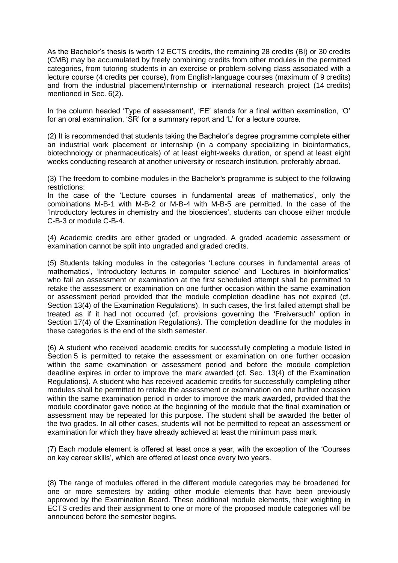As the Bachelor's thesis is worth 12 ECTS credits, the remaining 28 credits (BI) or 30 credits (CMB) may be accumulated by freely combining credits from other modules in the permitted categories, from tutoring students in an exercise or problem-solving class associated with a lecture course (4 credits per course), from English-language courses (maximum of 9 credits) and from the industrial placement/internship or international research project (14 credits) mentioned in Sec. 6(2).

In the column headed 'Type of assessment', 'FE' stands for a final written examination, 'O' for an oral examination, 'SR' for a summary report and 'L' for a lecture course.

(2) It is recommended that students taking the Bachelor's degree programme complete either an industrial work placement or internship (in a company specializing in bioinformatics, biotechnology or pharmaceuticals) of at least eight-weeks duration, or spend at least eight weeks conducting research at another university or research institution, preferably abroad.

(3) The freedom to combine modules in the Bachelor's programme is subject to the following restrictions:

In the case of the 'Lecture courses in fundamental areas of mathematics', only the combinations M-B-1 with M-B-2 or M-B-4 with M-B-5 are permitted. In the case of the 'Introductory lectures in chemistry and the biosciences', students can choose either module C-B-3 or module C-B-4.

(4) Academic credits are either graded or ungraded. A graded academic assessment or examination cannot be split into ungraded and graded credits.

(5) Students taking modules in the categories 'Lecture courses in fundamental areas of mathematics', 'Introductory lectures in computer science' and 'Lectures in bioinformatics' who fail an assessment or examination at the first scheduled attempt shall be permitted to retake the assessment or examination on one further occasion within the same examination or assessment period provided that the module completion deadline has not expired (cf. Section 13(4) of the Examination Regulations). In such cases, the first failed attempt shall be treated as if it had not occurred (cf. provisions governing the 'Freiversuch' option in Section 17(4) of the Examination Regulations). The completion deadline for the modules in these categories is the end of the sixth semester.

(6) A student who received academic credits for successfully completing a module listed in Section 5 is permitted to retake the assessment or examination on one further occasion within the same examination or assessment period and before the module completion deadline expires in order to improve the mark awarded (cf. Sec. 13(4) of the Examination Regulations). A student who has received academic credits for successfully completing other modules shall be permitted to retake the assessment or examination on one further occasion within the same examination period in order to improve the mark awarded, provided that the module coordinator gave notice at the beginning of the module that the final examination or assessment may be repeated for this purpose. The student shall be awarded the better of the two grades. In all other cases, students will not be permitted to repeat an assessment or examination for which they have already achieved at least the minimum pass mark.

(7) Each module element is offered at least once a year, with the exception of the 'Courses on key career skills', which are offered at least once every two years.

(8) The range of modules offered in the different module categories may be broadened for one or more semesters by adding other module elements that have been previously approved by the Examination Board. These additional module elements, their weighting in ECTS credits and their assignment to one or more of the proposed module categories will be announced before the semester begins.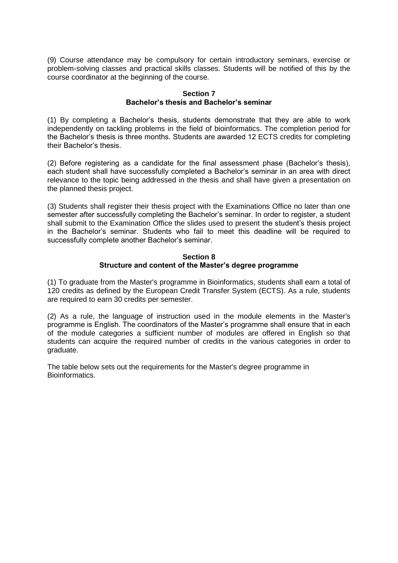(9) Course attendance may be compulsory for certain introductory seminars, exercise or problem-solving classes and practical skills classes. Students will be notified of this by the course coordinator at the beginning of the course.

## **Section 7 Bachelor's thesis and Bachelor's seminar**

(1) By completing a Bachelor's thesis, students demonstrate that they are able to work independently on tackling problems in the field of bioinformatics. The completion period for the Bachelor's thesis is three months. Students are awarded 12 ECTS credits for completing their Bachelor's thesis.

(2) Before registering as a candidate for the final assessment phase (Bachelor's thesis), each student shall have successfully completed a Bachelor's seminar in an area with direct relevance to the topic being addressed in the thesis and shall have given a presentation on the planned thesis project.

(3) Students shall register their thesis project with the Examinations Office no later than one semester after successfully completing the Bachelor's seminar. In order to register, a student shall submit to the Examination Office the slides used to present the student's thesis project in the Bachelor's seminar. Students who fail to meet this deadline will be required to successfully complete another Bachelor's seminar.

## **Section 8 Structure and content of the Master's degree programme**

(1) To graduate from the Master's programme in Bioinformatics, students shall earn a total of 120 credits as defined by the European Credit Transfer System (ECTS). As a rule, students are required to earn 30 credits per semester.

(2) As a rule, the language of instruction used in the module elements in the Master's programme is English. The coordinators of the Master's programme shall ensure that in each of the module categories a sufficient number of modules are offered in English so that students can acquire the required number of credits in the various categories in order to graduate.

The table below sets out the requirements for the Master's degree programme in Bioinformatics.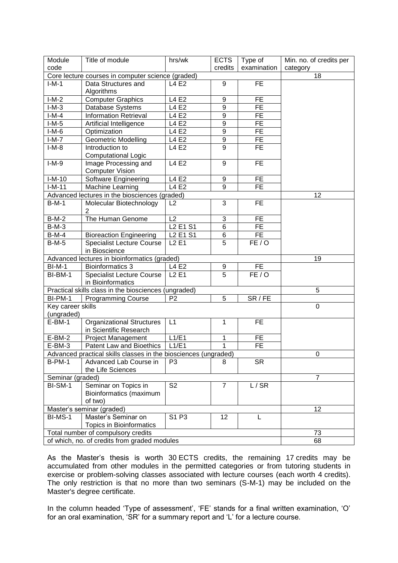| Module            | Title of module                                                 | hrs/wk                                       | <b>ECTS</b>      | Type of         | Min. no. of credits per |
|-------------------|-----------------------------------------------------------------|----------------------------------------------|------------------|-----------------|-------------------------|
| code              |                                                                 |                                              | credits          | examination     | category                |
|                   | Core lecture courses in computer science (graded)               |                                              |                  |                 | 18                      |
| $I-M-1$           | Data Structures and<br>Algorithms                               | L4 E2                                        | 9                | <b>FE</b>       |                         |
| $I-M-2$           | <b>Computer Graphics</b>                                        | L4 E2                                        | 9                | <b>FE</b>       |                         |
| $I-M-3$           | Database Systems                                                | L4 E2                                        | 9                | FE              |                         |
| $I-M-4$           | <b>Information Retrieval</b>                                    | L4 E2                                        | $\boldsymbol{9}$ | FE              |                         |
| $I-M-5$           | Artificial Intelligence                                         | L4 E2                                        | $\overline{9}$   | $\overline{FE}$ |                         |
| $I-M-6$           | Optimization                                                    | L4 E2                                        | $\overline{9}$   | FE              |                         |
| $I-M-7$           | <b>Geometric Modelling</b>                                      | L4 E2                                        | 9                | FE              |                         |
| $I-M-8$           | Introduction to                                                 | L4 E2                                        | $\overline{9}$   | <b>FE</b>       |                         |
|                   | <b>Computational Logic</b>                                      |                                              |                  |                 |                         |
| $I-M-9$           | Image Processing and                                            | <b>L4 E2</b>                                 | 9                | <b>FE</b>       |                         |
|                   | <b>Computer Vision</b>                                          |                                              |                  |                 |                         |
| $I-M-10$          | Software Engineering                                            | L4 E2                                        | 9                | FE              |                         |
| $I-M-11$          | Machine Learning                                                | <b>L4 E2</b>                                 | 9                | <b>FE</b>       |                         |
|                   | Advanced lectures in the biosciences (graded)                   |                                              |                  |                 | 12                      |
| $B-M-1$           | Molecular Biotechnology                                         | L2                                           | 3                | <b>FE</b>       |                         |
|                   | 2                                                               |                                              |                  |                 |                         |
| $B-M-2$           | The Human Genome                                                | L2                                           | 3                | FE.             |                         |
| $B-M-3$           |                                                                 | L <sub>2</sub> E <sub>1</sub> S <sub>1</sub> | 6                | FE              |                         |
| <b>B-M-4</b>      | <b>Bioreaction Engineering</b>                                  | L <sub>2</sub> E <sub>1</sub> S <sub>1</sub> | 6                | FE.             |                         |
| $B-M-5$           | <b>Specialist Lecture Course</b>                                | <b>L2 E1</b>                                 | 5                | FE/O            |                         |
|                   | in Bioscience                                                   |                                              |                  |                 |                         |
|                   | Advanced lectures in bioinformatics (graded)                    |                                              |                  |                 | 19                      |
| <b>BI-M-1</b>     | <b>Bioinformatics 3</b>                                         | L4E2                                         | 9                | FE.             |                         |
| BI-BM-1           | <b>Specialist Lecture Course</b>                                | <b>L2 E1</b>                                 | $\overline{5}$   | FE/O            |                         |
|                   | in Bioinformatics                                               |                                              |                  |                 |                         |
|                   | Practical skills class in the biosciences (ungraded)            |                                              |                  |                 | 5                       |
| BI-PM-1           | <b>Programming Course</b>                                       | P <sub>2</sub>                               | 5                | SR / FE         |                         |
| Key career skills |                                                                 |                                              |                  |                 | $\mathbf 0$             |
| (ungraded)        |                                                                 |                                              |                  |                 |                         |
| $E-BM-1$          | <b>Organizational Structures</b><br>in Scientific Research      | L1                                           | 1                | <b>FE</b>       |                         |
| $E-BM-2$          | Project Management                                              | L1/E1                                        | 1                | <b>FE</b>       |                         |
| $E-BM-3$          | Patent Law and Bioethics                                        | L1/E1                                        | 1                | <b>FE</b>       |                         |
|                   | Advanced practical skills classes in the biosciences (ungraded) |                                              |                  |                 | 0                       |
| $B-PM-1$          | Advanced Lab Course in                                          | P3                                           | 8                | <b>SR</b>       |                         |
|                   | the Life Sciences                                               |                                              |                  |                 |                         |
| Seminar (graded)  |                                                                 |                                              |                  |                 | $\overline{7}$          |
| BI-SM-1           | Seminar on Topics in                                            | S <sub>2</sub>                               | $\overline{7}$   | L/SR            |                         |
|                   | Bioinformatics (maximum                                         |                                              |                  |                 |                         |
|                   | of two)                                                         |                                              |                  |                 |                         |
|                   | Master's seminar (graded)                                       |                                              |                  |                 | 12                      |
| BI-MS-1           | Master's Seminar on                                             | S1 P3                                        | 12               | L               |                         |
|                   | <b>Topics in Bioinformatics</b>                                 |                                              |                  |                 |                         |
|                   | Total number of compulsory credits                              |                                              |                  |                 | 73                      |
|                   | of which, no. of credits from graded modules                    |                                              |                  |                 | 68                      |
|                   |                                                                 |                                              |                  |                 |                         |

As the Master's thesis is worth 30 ECTS credits, the remaining 17 credits may be accumulated from other modules in the permitted categories or from tutoring students in exercise or problem-solving classes associated with lecture courses (each worth 4 credits). The only restriction is that no more than two seminars (S-M-1) may be included on the Master's degree certificate.

In the column headed 'Type of assessment', 'FE' stands for a final written examination, 'O' for an oral examination, 'SR' for a summary report and 'L' for a lecture course.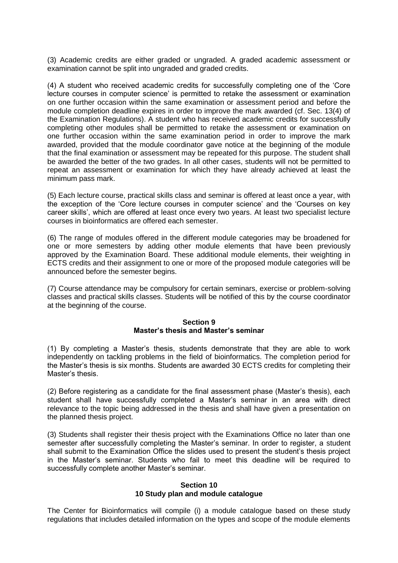(3) Academic credits are either graded or ungraded. A graded academic assessment or examination cannot be split into ungraded and graded credits.

(4) A student who received academic credits for successfully completing one of the 'Core lecture courses in computer science' is permitted to retake the assessment or examination on one further occasion within the same examination or assessment period and before the module completion deadline expires in order to improve the mark awarded (cf. Sec. 13(4) of the Examination Regulations). A student who has received academic credits for successfully completing other modules shall be permitted to retake the assessment or examination on one further occasion within the same examination period in order to improve the mark awarded, provided that the module coordinator gave notice at the beginning of the module that the final examination or assessment may be repeated for this purpose. The student shall be awarded the better of the two grades. In all other cases, students will not be permitted to repeat an assessment or examination for which they have already achieved at least the minimum pass mark.

(5) Each lecture course, practical skills class and seminar is offered at least once a year, with the exception of the 'Core lecture courses in computer science' and the 'Courses on key career skills', which are offered at least once every two years. At least two specialist lecture courses in bioinformatics are offered each semester.

(6) The range of modules offered in the different module categories may be broadened for one or more semesters by adding other module elements that have been previously approved by the Examination Board. These additional module elements, their weighting in ECTS credits and their assignment to one or more of the proposed module categories will be announced before the semester begins.

(7) Course attendance may be compulsory for certain seminars, exercise or problem-solving classes and practical skills classes. Students will be notified of this by the course coordinator at the beginning of the course.

#### **Section 9 Master's thesis and Master's seminar**

(1) By completing a Master's thesis, students demonstrate that they are able to work independently on tackling problems in the field of bioinformatics. The completion period for the Master's thesis is six months. Students are awarded 30 ECTS credits for completing their Master's thesis.

(2) Before registering as a candidate for the final assessment phase (Master's thesis), each student shall have successfully completed a Master's seminar in an area with direct relevance to the topic being addressed in the thesis and shall have given a presentation on the planned thesis project.

(3) Students shall register their thesis project with the Examinations Office no later than one semester after successfully completing the Master's seminar. In order to register, a student shall submit to the Examination Office the slides used to present the student's thesis project in the Master's seminar. Students who fail to meet this deadline will be required to successfully complete another Master's seminar.

#### **Section 10 10 Study plan and module catalogue**

The Center for Bioinformatics will compile (i) a module catalogue based on these study regulations that includes detailed information on the types and scope of the module elements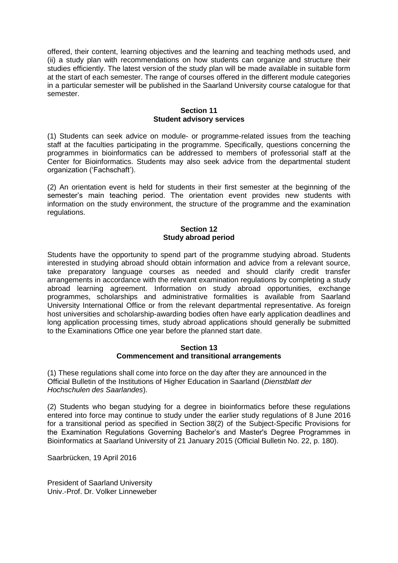offered, their content, learning objectives and the learning and teaching methods used, and (ii) a study plan with recommendations on how students can organize and structure their studies efficiently. The latest version of the study plan will be made available in suitable form at the start of each semester. The range of courses offered in the different module categories in a particular semester will be published in the Saarland University course catalogue for that semester.

#### **Section 11 Student advisory services**

(1) Students can seek advice on module- or programme-related issues from the teaching staff at the faculties participating in the programme. Specifically, questions concerning the programmes in bioinformatics can be addressed to members of professorial staff at the Center for Bioinformatics. Students may also seek advice from the departmental student organization ('Fachschaft').

(2) An orientation event is held for students in their first semester at the beginning of the semester's main teaching period. The orientation event provides new students with information on the study environment, the structure of the programme and the examination regulations.

## **Section 12 Study abroad period**

Students have the opportunity to spend part of the programme studying abroad. Students interested in studying abroad should obtain information and advice from a relevant source, take preparatory language courses as needed and should clarify credit transfer arrangements in accordance with the relevant examination regulations by completing a study abroad learning agreement. Information on study abroad opportunities, exchange programmes, scholarships and administrative formalities is available from Saarland University International Office or from the relevant departmental representative. As foreign host universities and scholarship-awarding bodies often have early application deadlines and long application processing times, study abroad applications should generally be submitted to the Examinations Office one year before the planned start date.

#### **Section 13 Commencement and transitional arrangements**

(1) These regulations shall come into force on the day after they are announced in the Official Bulletin of the Institutions of Higher Education in Saarland (*Dienstblatt der Hochschulen des Saarlandes*).

(2) Students who began studying for a degree in bioinformatics before these regulations entered into force may continue to study under the earlier study regulations of 8 June 2016 for a transitional period as specified in Section 38(2) of the Subject-Specific Provisions for the Examination Regulations Governing Bachelor's and Master's Degree Programmes in Bioinformatics at Saarland University of 21 January 2015 (Official Bulletin No. 22, p. 180).

Saarbrücken, 19 April 2016

President of Saarland University Univ.-Prof. Dr. Volker Linneweber